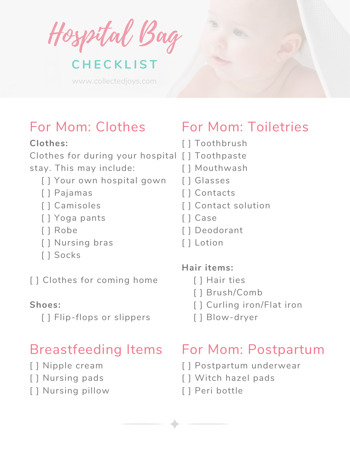Hospital Bag

## **C H E C K L I S T**

www.collectedjoys.com

## For Mom: Clothes

#### **Clothes:**

Clothes for during your hospital [ ] Toothpaste stay. This may include:

- [] Your own hospital gown
- [ ] Pajamas
- [ ] Camisoles
- [ ] Yoga pants
- [ ] Robe
- [ ] Nursing bras
- [ ] Socks

[] Clothes for coming home

#### **Shoes:**

[ ] Flip-flops or slippers

# Breastfeeding Items

- [ ] Nipple cream
- [ ] Nursing pads
- [ ] Nursing pillow

# For Mom: Toiletries

- [ ] Toothbrush
- 
- [ ] Mouthwash
- [ ] Glasses
- [ ] Contacts
- [ ] Contact solution
- [ ] Case
- [ ] Deodorant
- [ ] Lotion

### **Hair items:**

- [ ] Hair ties
- [ ] Brush/Comb
- [] Curling iron/Flat iron
- [ ] Blow-dryer

# For Mom: Postpartum

- [ ] Postpartum underwear
- [ ] Witch hazel pads
- [ ] Peri bottle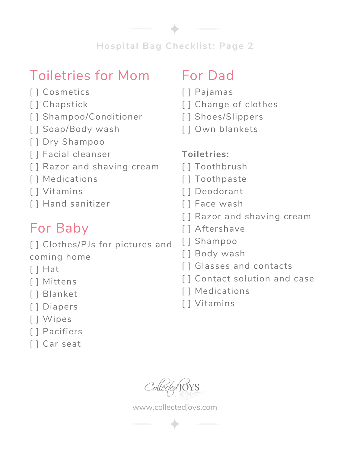**Hospital Bag Checklist: Page 2**

## Toiletries for Mom

- [ ] Cosmetics
- [ ] Chapstick
- [ ] Shampoo/Conditioner
- [] Soap/Body wash
- [ ] Dry Shampoo
- [ ] Facial cleanser
- [ ] Razor and shaving cream
- [ ] Medications
- [ ] Vitamins
- [ ] Hand sanitizer

# For Baby

[ ] Clothes/PJs for pictures and coming home

- [ ] Hat
- [ ] Mittens
- [ ] Blanket
- [ ] Diapers
- [] Wipes
- [ ] Pacifiers
- [ ] Car seat

# For Dad

- [ ] Pajamas
- [] Change of clothes
- [] Shoes/Slippers
- [ ] Own blankets

## **Toiletries:**

- [ ] Toothbrush
- [ ] Toothpaste
- [ ] Deodorant
- [ ] Face wash
- [ ] Razor and shaving cream
- [ ] Aftershave
- [ ] Shampoo
- [ ] Body wash
- [ ] Glasses and contacts
- [ ] Contact solution and case
- [ ] Medications
- [ ] Vitamins

Colle

www.collectedjoys.com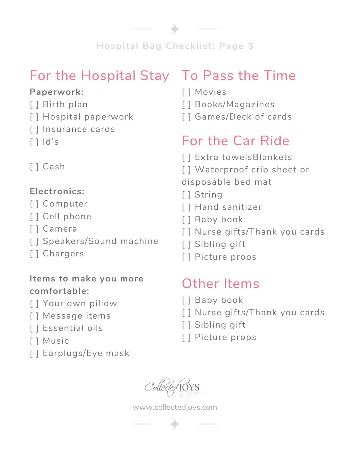

## For the Hospital Stay To Pass the Time

#### **Paperwork:**

- [ ] Birth plan
- [ ] Hospital paperwork
- [ ] Insurance cards
- $\lceil$   $\lceil$   $\lceil$   $\lceil$   $\lceil$   $\lceil$   $\lceil$   $\lceil$   $\lceil$   $\lceil$   $\lceil$   $\lceil$   $\lceil$   $\lceil$   $\lceil$   $\lceil$   $\lceil$   $\lceil$   $\lceil$   $\lceil$   $\lceil$   $\lceil$   $\lceil$   $\lceil$   $\lceil$   $\lceil$   $\lceil$   $\lceil$   $\lceil$   $\lceil$   $\lceil$   $\lceil$   $\lceil$   $\lceil$   $\lceil$   $\lceil$   $\lceil$
- [ ] Cash

## **Electronics:**

- [ ] Computer
- [ ] Cell phone
- [ ] Camera
- [ ] Speakers/Sound machine
- [ ] Chargers

#### **Items to make you more comfortable:**

- [ ] Your own pillow
- [] Message items
- [ ] Essential oils
- [ ] Music
- [] Earplugs/Eye mask

- [ ] Movies
- [ ] Books/Magazines
- [ ] Games/Deck of cards

# For the Car Ride

- [] Extra towelsBlankets
- [] Waterproof crib sheet or

disposable bed mat

- [] String
- [ ] Hand sanitizer
- [ ] Baby book
- [] Nurse gifts/Thank you cards
- [ ] Sibling gift
- [] Picture props

# Other Items

- [ ] Baby book
- [] Nurse gifts/Thank you cards
- [ ] Sibling gift
- [ ] Picture props

www.collectedjoys.com